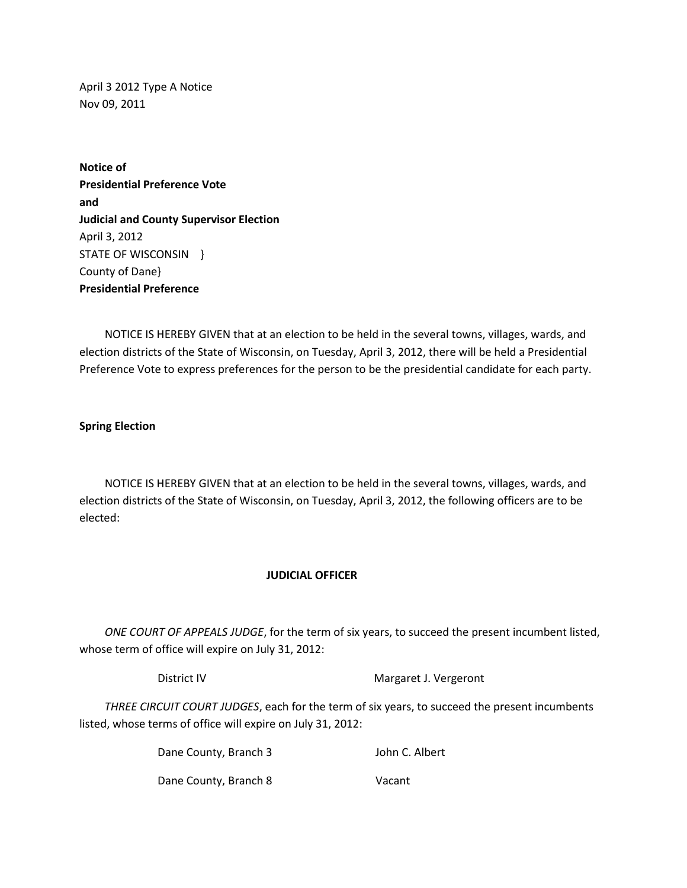April 3 2012 Type A Notice Nov 09, 2011

**Notice of Presidential Preference Vote and Judicial and County Supervisor Election** April 3, 2012 STATE OF WISCONSIN } County of Dane} **Presidential Preference**

 NOTICE IS HEREBY GIVEN that at an election to be held in the several towns, villages, wards, and election districts of the State of Wisconsin, on Tuesday, April 3, 2012, there will be held a Presidential Preference Vote to express preferences for the person to be the presidential candidate for each party.

## **Spring Election**

 NOTICE IS HEREBY GIVEN that at an election to be held in the several towns, villages, wards, and election districts of the State of Wisconsin, on Tuesday, April 3, 2012, the following officers are to be elected:

## **JUDICIAL OFFICER**

 *ONE COURT OF APPEALS JUDGE*, for the term of six years, to succeed the present incumbent listed, whose term of office will expire on July 31, 2012:

District IV Margaret J. Vergeront

 *THREE CIRCUIT COURT JUDGES*, each for the term of six years, to succeed the present incumbents listed, whose terms of office will expire on July 31, 2012:

> Dane County, Branch 3 John C. Albert Dane County, Branch 8 Vacant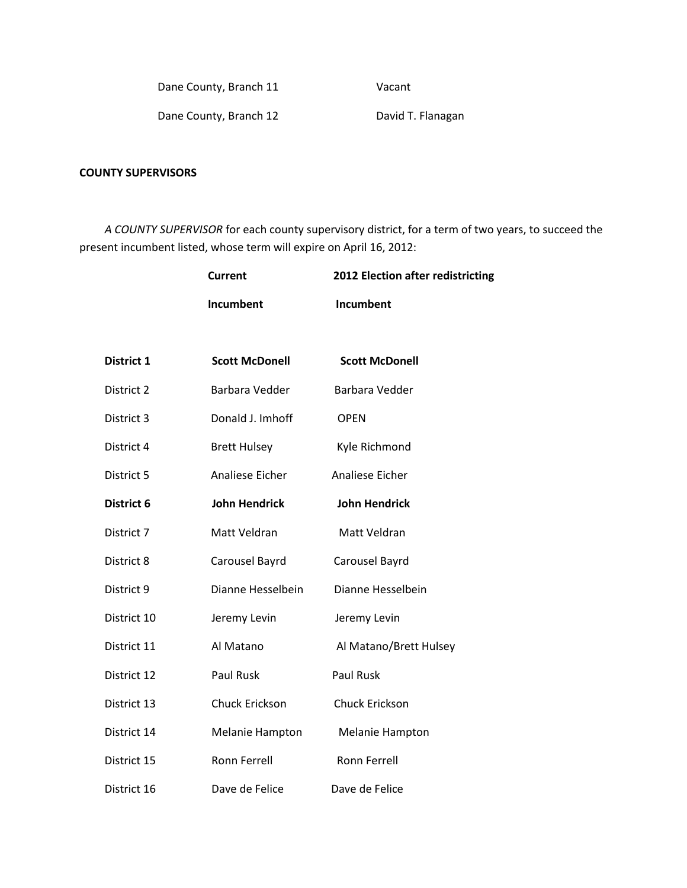Dane County, Branch 11 Vacant

Dane County, Branch 12 David T. Flanagan

## **COUNTY SUPERVISORS**

 *A COUNTY SUPERVISOR* for each county supervisory district, for a term of two years, to succeed the present incumbent listed, whose term will expire on April 16, 2012:

|             | <b>Current</b>         | 2012 Election after redistricting |
|-------------|------------------------|-----------------------------------|
|             | <b>Incumbent</b>       | Incumbent                         |
|             |                        |                                   |
| District 1  | <b>Scott McDonell</b>  | <b>Scott McDonell</b>             |
| District 2  | Barbara Vedder         | Barbara Vedder                    |
| District 3  | Donald J. Imhoff       | <b>OPEN</b>                       |
| District 4  | <b>Brett Hulsey</b>    | Kyle Richmond                     |
| District 5  | Analiese Eicher        | Analiese Eicher                   |
| District 6  | <b>John Hendrick</b>   | <b>John Hendrick</b>              |
| District 7  | Matt Veldran           | Matt Veldran                      |
| District 8  | Carousel Bayrd         | Carousel Bayrd                    |
| District 9  | Dianne Hesselbein      | Dianne Hesselbein                 |
| District 10 | Jeremy Levin           | Jeremy Levin                      |
| District 11 | Al Matano              | Al Matano/Brett Hulsey            |
| District 12 | Paul Rusk              | <b>Paul Rusk</b>                  |
| District 13 | Chuck Erickson         | Chuck Erickson                    |
| District 14 | <b>Melanie Hampton</b> | <b>Melanie Hampton</b>            |
| District 15 | <b>Ronn Ferrell</b>    | <b>Ronn Ferrell</b>               |
| District 16 | Dave de Felice         | Dave de Felice                    |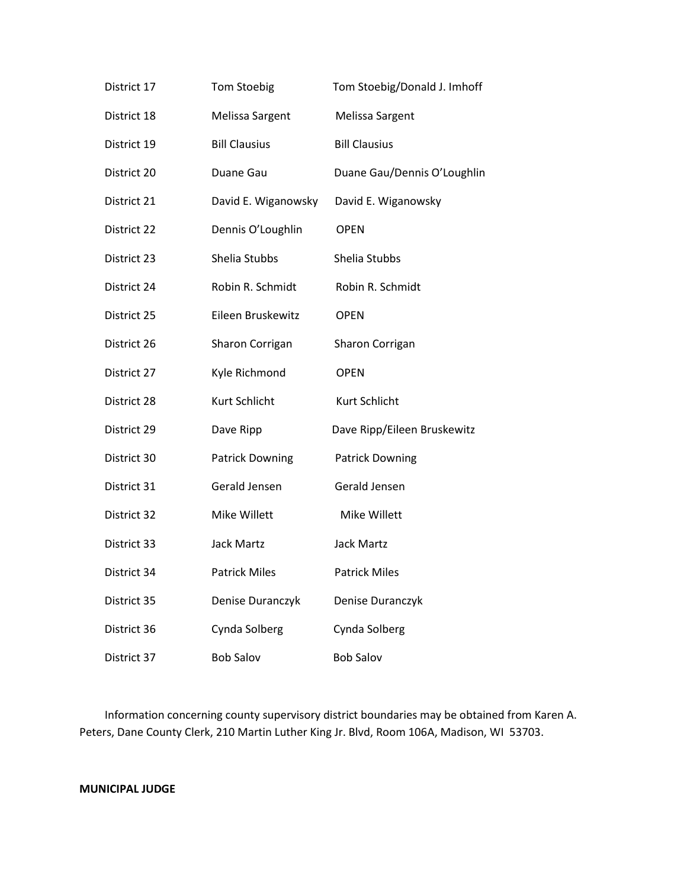| District 17 | <b>Tom Stoebig</b>     | Tom Stoebig/Donald J. Imhoff |
|-------------|------------------------|------------------------------|
| District 18 | Melissa Sargent        | Melissa Sargent              |
| District 19 | <b>Bill Clausius</b>   | <b>Bill Clausius</b>         |
| District 20 | Duane Gau              | Duane Gau/Dennis O'Loughlin  |
| District 21 | David E. Wiganowsky    | David E. Wiganowsky          |
| District 22 | Dennis O'Loughlin      | <b>OPEN</b>                  |
| District 23 | Shelia Stubbs          | Shelia Stubbs                |
| District 24 | Robin R. Schmidt       | Robin R. Schmidt             |
| District 25 | Eileen Bruskewitz      | <b>OPEN</b>                  |
| District 26 | Sharon Corrigan        | Sharon Corrigan              |
| District 27 | Kyle Richmond          | <b>OPEN</b>                  |
| District 28 | Kurt Schlicht          | Kurt Schlicht                |
| District 29 | Dave Ripp              | Dave Ripp/Eileen Bruskewitz  |
| District 30 | <b>Patrick Downing</b> | <b>Patrick Downing</b>       |
| District 31 | Gerald Jensen          | Gerald Jensen                |
| District 32 | Mike Willett           | Mike Willett                 |
| District 33 | <b>Jack Martz</b>      | <b>Jack Martz</b>            |
| District 34 | <b>Patrick Miles</b>   | <b>Patrick Miles</b>         |
| District 35 | Denise Duranczyk       | Denise Duranczyk             |
| District 36 | Cynda Solberg          | Cynda Solberg                |
| District 37 | <b>Bob Salov</b>       | <b>Bob Salov</b>             |

 Information concerning county supervisory district boundaries may be obtained from Karen A. Peters, Dane County Clerk, 210 Martin Luther King Jr. Blvd, Room 106A, Madison, WI 53703.

## **MUNICIPAL JUDGE**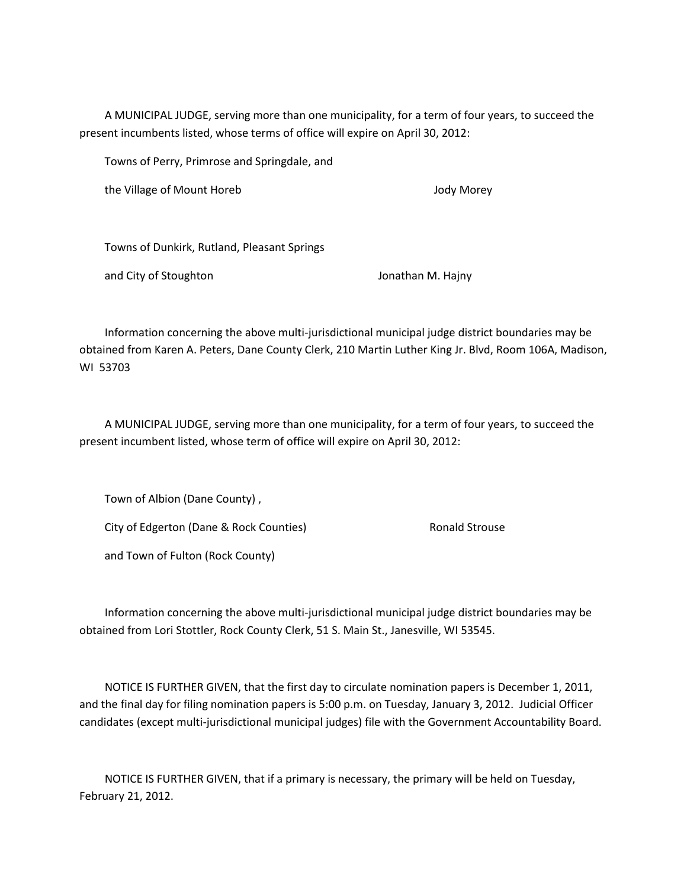A MUNICIPAL JUDGE, serving more than one municipality, for a term of four years, to succeed the present incumbents listed, whose terms of office will expire on April 30, 2012:

Towns of Perry, Primrose and Springdale, and

the Village of Mount Horeb Jody Morey

Towns of Dunkirk, Rutland, Pleasant Springs

and City of Stoughton and City of Stoughton Jonathan M. Hajny

 Information concerning the above multi-jurisdictional municipal judge district boundaries may be obtained from Karen A. Peters, Dane County Clerk, 210 Martin Luther King Jr. Blvd, Room 106A, Madison, WI 53703

 A MUNICIPAL JUDGE, serving more than one municipality, for a term of four years, to succeed the present incumbent listed, whose term of office will expire on April 30, 2012:

 Town of Albion (Dane County) , City of Edgerton (Dane & Rock Counties) Ronald Strouse and Town of Fulton (Rock County)

 Information concerning the above multi-jurisdictional municipal judge district boundaries may be obtained from Lori Stottler, Rock County Clerk, 51 S. Main St., Janesville, WI 53545.

 NOTICE IS FURTHER GIVEN, that the first day to circulate nomination papers is December 1, 2011, and the final day for filing nomination papers is 5:00 p.m. on Tuesday, January 3, 2012. Judicial Officer candidates (except multi-jurisdictional municipal judges) file with the Government Accountability Board.

 NOTICE IS FURTHER GIVEN, that if a primary is necessary, the primary will be held on Tuesday, February 21, 2012.